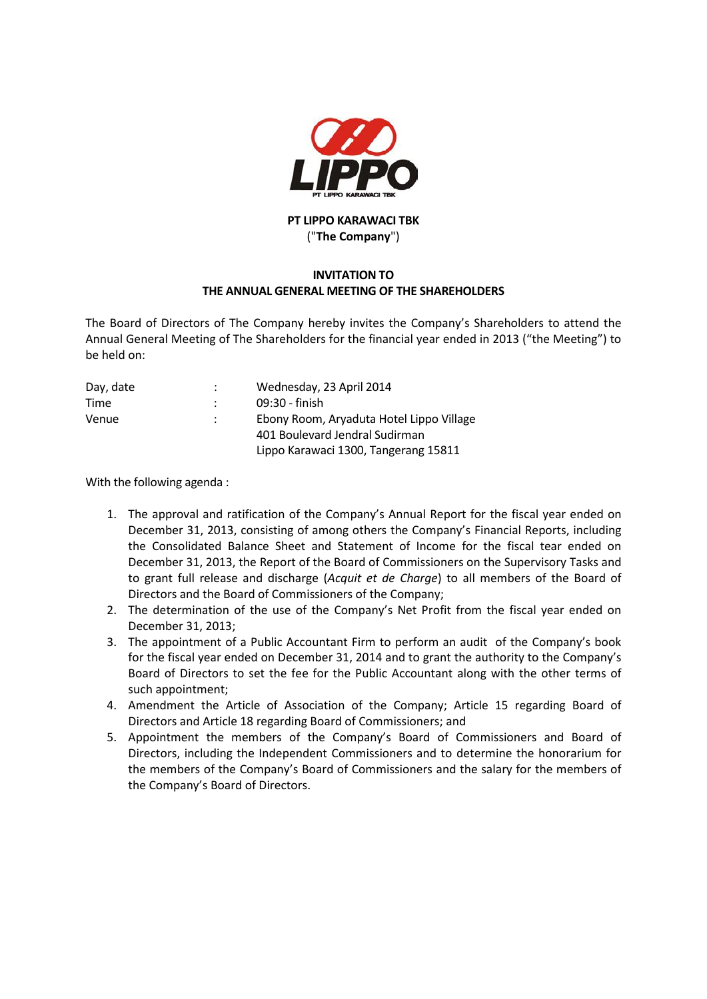

## **PT LIPPO KARAWACI TBK** ("**The Company**")

## **INVITATION TO THE ANNUAL GENERAL MEETING OF THE SHAREHOLDERS**

The Board of Directors of The Company hereby invites the Company's Shareholders to attend the Annual General Meeting of The Shareholders for the financial year ended in 2013 ("the Meeting") to be held on:

| Day, date | $\mathcal{L}$ | Wednesday, 23 April 2014                 |
|-----------|---------------|------------------------------------------|
| Time      |               | 09:30 - finish                           |
| Venue     | $\mathcal{L}$ | Ebony Room, Aryaduta Hotel Lippo Village |
|           |               | 401 Boulevard Jendral Sudirman           |
|           |               | Lippo Karawaci 1300, Tangerang 15811     |

With the following agenda :

- 1. The approval and ratification of the Company's Annual Report for the fiscal year ended on December 31, 2013, consisting of among others the Company's Financial Reports, including the Consolidated Balance Sheet and Statement of Income for the fiscal tear ended on December 31, 2013, the Report of the Board of Commissioners on the Supervisory Tasks and to grant full release and discharge (*Acquit et de Charge*) to all members of the Board of Directors and the Board of Commissioners of the Company;
- 2. The determination of the use of the Company's Net Profit from the fiscal year ended on December 31, 2013;
- 3. The appointment of a Public Accountant Firm to perform an audit of the Company's book for the fiscal year ended on December 31, 2014 and to grant the authority to the Company's Board of Directors to set the fee for the Public Accountant along with the other terms of such appointment;
- 4. Amendment the Article of Association of the Company; Article 15 regarding Board of Directors and Article 18 regarding Board of Commissioners; and
- 5. Appointment the members of the Company's Board of Commissioners and Board of Directors, including the Independent Commissioners and to determine the honorarium for the members of the Company's Board of Commissioners and the salary for the members of the Company's Board of Directors.